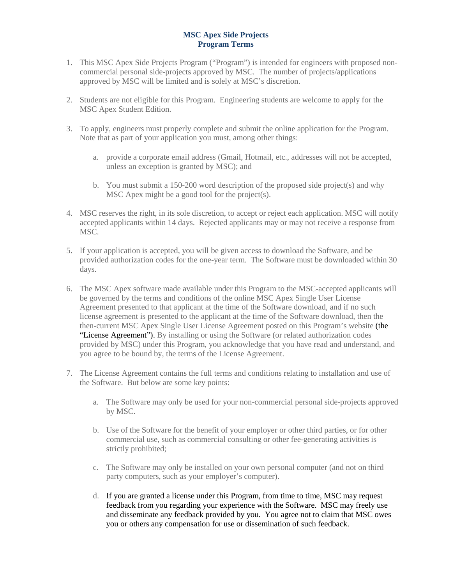## **MSC Apex Side Projects Program Terms**

- 1. This MSC Apex Side Projects Program ("Program") is intended for engineers with proposed noncommercial personal side-projects approved by MSC. The number of projects/applications approved by MSC will be limited and is solely at MSC's discretion.
- 2. Students are not eligible for this Program. Engineering students are welcome to apply for the MSC Apex Student Edition.
- 3. To apply, engineers must properly complete and submit the online application for the Program. Note that as part of your application you must, among other things:
	- a. provide a corporate email address (Gmail, Hotmail, etc., addresses will not be accepted, unless an exception is granted by MSC); and
	- b. You must submit a 150-200 word description of the proposed side project(s) and why MSC Apex might be a good tool for the project(s).
- 4. MSC reserves the right, in its sole discretion, to accept or reject each application. MSC will notify accepted applicants within 14 days. Rejected applicants may or may not receive a response from MSC.
- 5. If your application is accepted, you will be given access to download the Software, and be provided authorization codes for the one-year term. The Software must be downloaded within 30 days.
- 6. The MSC Apex software made available under this Program to the MSC-accepted applicants will be governed by the terms and conditions of the online MSC Apex Single User License Agreement presented to that applicant at the time of the Software download, and if no such license agreement is presented to the applicant at the time of the Software download, then the then-current MSC Apex Single User License Agreement posted on this Program's website (the "License Agreement"). By installing or using the Software (or related authorization codes provided by MSC) under this Program, you acknowledge that you have read and understand, and you agree to be bound by, the terms of the License Agreement.
- 7. The License Agreement contains the full terms and conditions relating to installation and use of the Software. But below are some key points:
	- a. The Software may only be used for your non-commercial personal side-projects approved by MSC.
	- b. Use of the Software for the benefit of your employer or other third parties, or for other commercial use, such as commercial consulting or other fee-generating activities is strictly prohibited;
	- c. The Software may only be installed on your own personal computer (and not on third party computers, such as your employer's computer).
	- d. If you are granted a license under this Program, from time to time, MSC may request feedback from you regarding your experience with the Software. MSC may freely use and disseminate any feedback provided by you. You agree not to claim that MSC owes you or others any compensation for use or dissemination of such feedback.